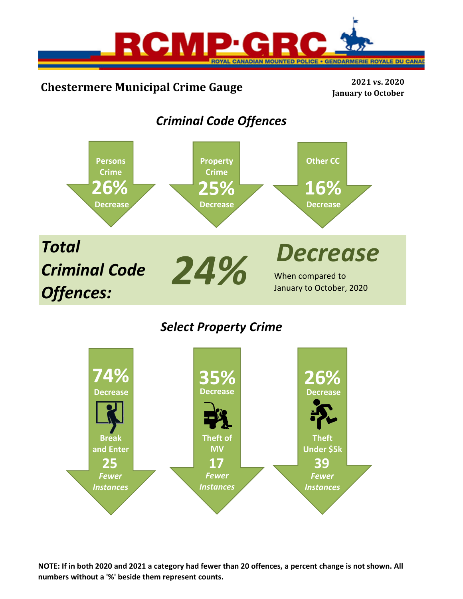

# **Chestermere Municipal Crime Gauge <sup>2021</sup> vs. <sup>2020</sup>**

**January to October**

## *Criminal Code Offences*



## *Select Property Crime*



NOTE: If in both 2020 and 2021 a category had fewer than 20 offences, a percent change is not shown. All **numbers without a '%' beside them represent counts.**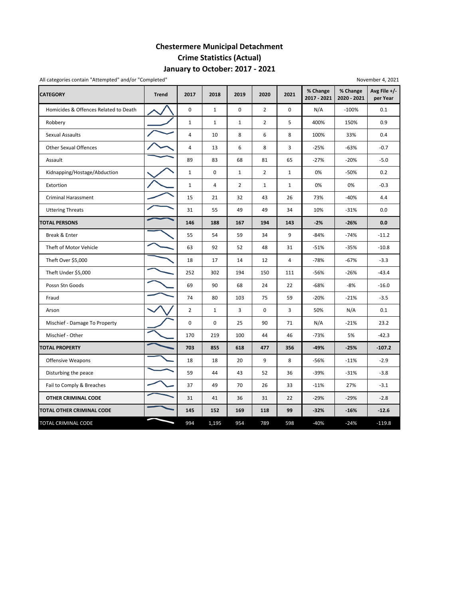## **Chestermere Municipal Detachment Crime Statistics (Actual) January to October: 2017 ‐ 2021**

| All categories contain "Attempted" and/or "Completed"<br>November 4, 2021 |              |                |              |                |                |              |                         |                         |                          |  |  |
|---------------------------------------------------------------------------|--------------|----------------|--------------|----------------|----------------|--------------|-------------------------|-------------------------|--------------------------|--|--|
| <b>CATEGORY</b>                                                           | <b>Trend</b> | 2017           | 2018         | 2019           | 2020           | 2021         | % Change<br>2017 - 2021 | % Change<br>2020 - 2021 | Avg File +/-<br>per Year |  |  |
| Homicides & Offences Related to Death                                     |              | $\pmb{0}$      | $\mathbf{1}$ | $\mathbf 0$    | $\overline{2}$ | $\mathbf 0$  | N/A                     | $-100%$                 | 0.1                      |  |  |
| Robbery                                                                   |              | $\mathbf 1$    | $\mathbf{1}$ | $\mathbf 1$    | $\overline{2}$ | 5            | 400%                    | 150%                    | 0.9                      |  |  |
| <b>Sexual Assaults</b>                                                    |              | $\overline{4}$ | 10           | 8              | 6              | 8            | 100%                    | 33%                     | 0.4                      |  |  |
| <b>Other Sexual Offences</b>                                              |              | 4              | 13           | 6              | 8              | 3            | $-25%$                  | $-63%$                  | $-0.7$                   |  |  |
| Assault                                                                   |              | 89             | 83           | 68             | 81             | 65           | $-27%$                  | $-20%$                  | $-5.0$                   |  |  |
| Kidnapping/Hostage/Abduction                                              |              | $\mathbf 1$    | $\mathbf 0$  | $\mathbf{1}$   | $\overline{2}$ | $\mathbf{1}$ | 0%                      | $-50%$                  | 0.2                      |  |  |
| Extortion                                                                 |              | $\mathbf 1$    | 4            | $\overline{2}$ | $\mathbf{1}$   | $\mathbf{1}$ | 0%                      | 0%                      | $-0.3$                   |  |  |
| <b>Criminal Harassment</b>                                                |              | 15             | 21           | 32             | 43             | 26           | 73%                     | $-40%$                  | 4.4                      |  |  |
| <b>Uttering Threats</b>                                                   |              | 31             | 55           | 49             | 49             | 34           | 10%                     | $-31%$                  | 0.0                      |  |  |
| <b>TOTAL PERSONS</b>                                                      |              | 146            | 188          | 167            | 194            | 143          | $-2%$                   | $-26%$                  | 0.0                      |  |  |
| Break & Enter                                                             |              | 55             | 54           | 59             | 34             | 9            | $-84%$                  | $-74%$                  | $-11.2$                  |  |  |
| Theft of Motor Vehicle                                                    |              | 63             | 92           | 52             | 48             | 31           | $-51%$                  | $-35%$                  | $-10.8$                  |  |  |
| Theft Over \$5,000                                                        |              | 18             | 17           | 14             | 12             | 4            | $-78%$                  | $-67%$                  | $-3.3$                   |  |  |
| Theft Under \$5,000                                                       |              | 252            | 302          | 194            | 150            | 111          | $-56%$                  | $-26%$                  | $-43.4$                  |  |  |
| Possn Stn Goods                                                           |              | 69             | 90           | 68             | 24             | 22           | $-68%$                  | -8%                     | $-16.0$                  |  |  |
| Fraud                                                                     |              | 74             | 80           | 103            | 75             | 59           | $-20%$                  | $-21%$                  | $-3.5$                   |  |  |
| Arson                                                                     |              | $\overline{2}$ | $\mathbf{1}$ | 3              | $\mathbf 0$    | 3            | 50%                     | N/A                     | 0.1                      |  |  |
| Mischief - Damage To Property                                             |              | 0              | $\mathbf 0$  | 25             | 90             | 71           | N/A                     | $-21%$                  | 23.2                     |  |  |
| Mischief - Other                                                          |              | 170            | 219          | 100            | 44             | 46           | $-73%$                  | 5%                      | $-42.3$                  |  |  |
| <b>TOTAL PROPERTY</b>                                                     |              | 703            | 855          | 618            | 477            | 356          | $-49%$                  | $-25%$                  | $-107.2$                 |  |  |
| <b>Offensive Weapons</b>                                                  |              | 18             | 18           | 20             | 9              | 8            | -56%                    | $-11%$                  | $-2.9$                   |  |  |
| Disturbing the peace                                                      |              | 59             | 44           | 43             | 52             | 36           | $-39%$                  | $-31%$                  | $-3.8$                   |  |  |
| Fail to Comply & Breaches                                                 |              | 37             | 49           | 70             | 26             | 33           | $-11%$                  | 27%                     | $-3.1$                   |  |  |
| <b>OTHER CRIMINAL CODE</b>                                                |              | 31             | 41           | 36             | 31             | 22           | $-29%$                  | $-29%$                  | $-2.8$                   |  |  |
| TOTAL OTHER CRIMINAL CODE                                                 |              | 145            | 152          | 169            | 118            | 99           | $-32%$                  | $-16%$                  | $-12.6$                  |  |  |
| TOTAL CRIMINAL CODE                                                       |              | 994            | 1,195        | 954            | 789            | 598          | $-40%$                  | $-24%$                  | $-119.8$                 |  |  |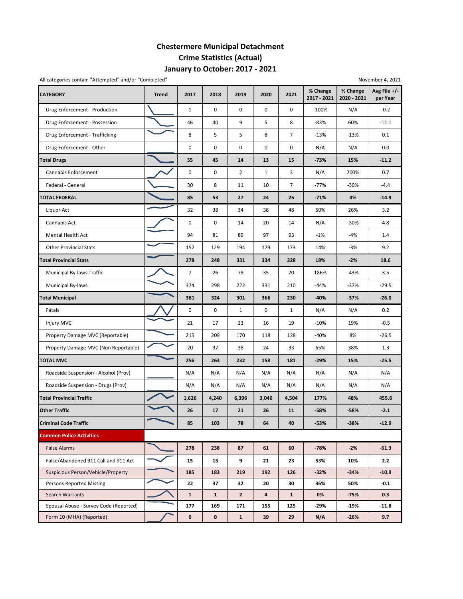## **Chestermere Municipal Detachment Crime Statistics (Actual) January to October: 2017 ‐ 2021**

| All categories contain "Attempted" and/or "Completed"<br>November 4, 2021 |              |                |              |                |              |                |                         |                         |                          |  |  |
|---------------------------------------------------------------------------|--------------|----------------|--------------|----------------|--------------|----------------|-------------------------|-------------------------|--------------------------|--|--|
| <b>CATEGORY</b>                                                           | <b>Trend</b> | 2017           | 2018         | 2019           | 2020         | 2021           | % Change<br>2017 - 2021 | % Change<br>2020 - 2021 | Avg File +/-<br>per Year |  |  |
| Drug Enforcement - Production                                             |              | $\mathbf{1}$   | $\mathbf 0$  | $\mathbf 0$    | $\mathbf 0$  | $\mathbf 0$    | $-100%$                 | N/A                     | $-0.2$                   |  |  |
| Drug Enforcement - Possession                                             |              | 46             | 40           | 9              | 5            | 8              | $-83%$                  | 60%                     | $-11.1$                  |  |  |
| Drug Enforcement - Trafficking                                            |              | 8              | 5            | 5              | 8            | $\overline{7}$ | $-13%$                  | $-13%$                  | 0.1                      |  |  |
| Drug Enforcement - Other                                                  |              | 0              | 0            | 0              | 0            | 0              | N/A                     | N/A                     | 0.0                      |  |  |
| <b>Total Drugs</b>                                                        |              | 55             | 45           | 14             | 13           | 15             | $-73%$                  | 15%                     | $-11.2$                  |  |  |
| Cannabis Enforcement                                                      |              | 0              | 0            | $\overline{2}$ | $\mathbf{1}$ | 3              | N/A                     | 200%                    | 0.7                      |  |  |
| Federal - General                                                         |              | 30             | 8            | 11             | 10           | $\overline{7}$ | $-77%$                  | $-30%$                  | $-4.4$                   |  |  |
| TOTAL FEDERAL                                                             |              | 85             | 53           | 27             | 24           | 25             | $-71%$                  | 4%                      | $-14.9$                  |  |  |
| Liquor Act                                                                |              | 32             | 38           | 34             | 38           | 48             | 50%                     | 26%                     | 3.2                      |  |  |
| Cannabis Act                                                              |              | 0              | 0            | 14             | 20           | 14             | N/A                     | $-30%$                  | 4.8                      |  |  |
| Mental Health Act                                                         |              | 94             | 81           | 89             | 97           | 93             | $-1%$                   | $-4%$                   | 1.4                      |  |  |
| <b>Other Provincial Stats</b>                                             |              | 152            | 129          | 194            | 179          | 173            | 14%                     | $-3%$                   | 9.2                      |  |  |
| <b>Total Provincial Stats</b>                                             |              | 278            | 248          | 331            | 334          | 328            | 18%                     | $-2%$                   | 18.6                     |  |  |
| Municipal By-laws Traffic                                                 |              | $\overline{7}$ | 26           | 79             | 35           | 20             | 186%                    | $-43%$                  | 3.5                      |  |  |
| Municipal By-laws                                                         |              | 374            | 298          | 222            | 331          | 210            | $-44%$                  | $-37%$                  | $-29.5$                  |  |  |
| <b>Total Municipal</b>                                                    |              | 381            | 324          | 301            | 366          | 230            | $-40%$                  | $-37%$                  | $-26.0$                  |  |  |
| Fatals                                                                    |              | 0              | 0            | $\mathbf{1}$   | 0            | $\mathbf{1}$   | N/A                     | N/A                     | 0.2                      |  |  |
| Injury MVC                                                                |              | 21             | 17           | 23             | 16           | 19             | $-10%$                  | 19%                     | $-0.5$                   |  |  |
| Property Damage MVC (Reportable)                                          |              | 215            | 209          | 170            | 118          | 128            | $-40%$                  | 8%                      | $-26.5$                  |  |  |
| Property Damage MVC (Non Reportable)                                      |              | 20             | 37           | 38             | 24           | 33             | 65%                     | 38%                     | 1.3                      |  |  |
| <b>TOTAL MVC</b>                                                          |              | 256            | 263          | 232            | 158          | 181            | $-29%$                  | 15%                     | $-25.5$                  |  |  |
| Roadside Suspension - Alcohol (Prov)                                      |              | N/A            | N/A          | N/A            | N/A          | N/A            | N/A                     | N/A                     | N/A                      |  |  |
| Roadside Suspension - Drugs (Prov)                                        |              | N/A            | N/A          | N/A            | N/A          | N/A            | N/A                     | N/A                     | N/A                      |  |  |
| <b>Total Provincial Traffic</b>                                           |              | 1,626          | 4,240        | 6,396          | 3,040        | 4,504          | 177%                    | 48%                     | 455.6                    |  |  |
| <b>Other Traffic</b>                                                      |              | 26             | 17           | 21             | 26           | 11             | $-58%$                  | -58%                    | $-2.1$                   |  |  |
| <b>Criminal Code Traffic</b>                                              |              | 85             | 103          | 78             | 64           | 40             | $-53%$                  | $-38%$                  | $-12.9$                  |  |  |
| <b>Common Police Activities</b>                                           |              |                |              |                |              |                |                         |                         |                          |  |  |
| <b>False Alarms</b>                                                       |              | 278            | 238          | 87             | 61           | 60             | $-78%$                  | $-2%$                   | $-61.3$                  |  |  |
| False/Abandoned 911 Call and 911 Act                                      |              | 15             | 15           | 9              | 21           | 23             | 53%                     | 10%                     | 2.2                      |  |  |
| Suspicious Person/Vehicle/Property                                        |              | 185            | 183          | 219            | 192          | 126            | $-32%$                  | $-34%$                  | $-10.9$                  |  |  |
| <b>Persons Reported Missing</b>                                           |              | 22             | 37           | 32             | 20           | 30             | 36%                     | 50%                     | $-0.1$                   |  |  |
| Search Warrants                                                           |              | $\mathbf{1}$   | $\mathbf{1}$ | $\overline{2}$ | 4            | $\mathbf{1}$   | 0%                      | $-75%$                  | 0.3                      |  |  |
| Spousal Abuse - Survey Code (Reported)                                    |              | 177            | 169          | 171            | 155          | 125            | -29%                    | -19%                    | $-11.8$                  |  |  |
| Form 10 (MHA) (Reported)                                                  |              | 0              | $\mathbf 0$  | $\mathbf{1}$   | 39           | 29             | N/A                     | $-26%$                  | 9.7                      |  |  |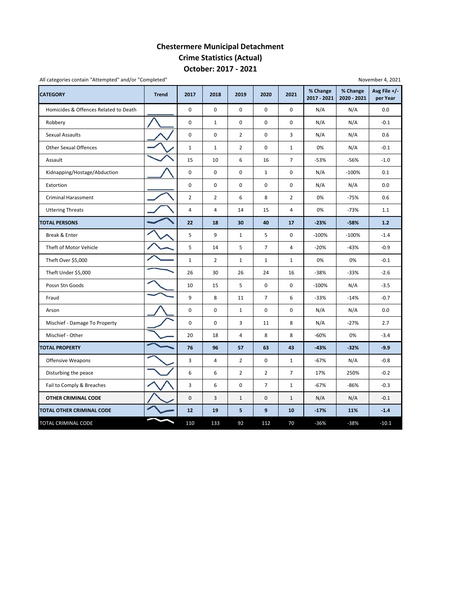## **Chestermere Municipal Detachment Crime Statistics (Actual) October: 2017 ‐ 2021**

| <b>CATEGORY</b>                       | <b>Trend</b> | 2017                | 2018           | 2019           | 2020                | 2021           | % Change<br>2017 - 2021 | % Change<br>2020 - 2021 | Avg File $+/-$<br>per Year |
|---------------------------------------|--------------|---------------------|----------------|----------------|---------------------|----------------|-------------------------|-------------------------|----------------------------|
| Homicides & Offences Related to Death |              | $\mathbf 0$         | $\Omega$       | $\Omega$       | $\Omega$            | $\Omega$       | N/A                     | N/A                     | 0.0                        |
| Robbery                               |              | $\mathbf 0$         | $\mathbf{1}$   | $\mathbf 0$    | 0                   | 0              | N/A                     | N/A                     | $-0.1$                     |
| Sexual Assaults                       |              | $\mathsf{O}\xspace$ | $\mathbf 0$    | $\overline{2}$ | 0                   | 3              | N/A                     | N/A                     | 0.6                        |
| <b>Other Sexual Offences</b>          |              | $\mathbf{1}$        | $\mathbf{1}$   | 2              | 0                   | $\mathbf{1}$   | 0%                      | N/A                     | $-0.1$                     |
| Assault                               |              | 15                  | 10             | 6              | 16                  | $\overline{7}$ | $-53%$                  | $-56%$                  | $-1.0$                     |
| Kidnapping/Hostage/Abduction          |              | $\mathbf 0$         | 0              | $\mathbf 0$    | $\mathbf{1}$        | 0              | N/A                     | $-100%$                 | 0.1                        |
| Extortion                             |              | $\mathsf{O}\xspace$ | $\mathbf 0$    | $\pmb{0}$      | 0                   | $\mathbf 0$    | N/A                     | N/A                     | 0.0                        |
| <b>Criminal Harassment</b>            |              | $\overline{2}$      | $\overline{2}$ | 6              | 8                   | $\overline{2}$ | 0%                      | $-75%$                  | 0.6                        |
| <b>Uttering Threats</b>               |              | $\overline{4}$      | 4              | 14             | 15                  | 4              | 0%                      | $-73%$                  | 1.1                        |
| <b>TOTAL PERSONS</b>                  |              | 22                  | 18             | 30             | 40                  | 17             | $-23%$                  | $-58%$                  | 1.2                        |
| Break & Enter                         |              | 5                   | 9              | $\mathbf{1}$   | 5                   | $\mathbf 0$    | $-100%$                 | $-100%$                 | $-1.4$                     |
| Theft of Motor Vehicle                |              | 5                   | 14             | 5              | $\overline{7}$      | $\overline{4}$ | $-20%$                  | $-43%$                  | $-0.9$                     |
| Theft Over \$5,000                    |              | $\mathbf{1}$        | $\overline{2}$ | $\mathbf{1}$   | $\mathbf{1}$        | $\mathbf{1}$   | 0%                      | 0%                      | $-0.1$                     |
| Theft Under \$5,000                   |              | 26                  | 30             | 26             | 24                  | 16             | $-38%$                  | $-33%$                  | $-2.6$                     |
| Possn Stn Goods                       |              | 10                  | 15             | 5              | $\mathsf{O}\xspace$ | 0              | $-100%$                 | N/A                     | $-3.5$                     |
| Fraud                                 |              | 9                   | 8              | 11             | $\overline{7}$      | 6              | $-33%$                  | $-14%$                  | $-0.7$                     |
| Arson                                 |              | 0                   | 0              | $\mathbf{1}$   | 0                   | 0              | N/A                     | N/A                     | 0.0                        |
| Mischief - Damage To Property         |              | $\mathbf 0$         | 0              | 3              | 11                  | 8              | N/A                     | $-27%$                  | 2.7                        |
| Mischief - Other                      |              | 20                  | 18             | 4              | 8                   | 8              | $-60%$                  | 0%                      | $-3.4$                     |
| <b>TOTAL PROPERTY</b>                 |              | 76                  | 96             | 57             | 63                  | 43             | $-43%$                  | $-32%$                  | $-9.9$                     |
| <b>Offensive Weapons</b>              |              | 3                   | $\overline{4}$ | $\overline{2}$ | $\mathbf 0$         | $\mathbf{1}$   | $-67%$                  | N/A                     | $-0.8$                     |
| Disturbing the peace                  |              | 6                   | 6              | $\overline{2}$ | $\overline{2}$      | $\overline{7}$ | 17%                     | 250%                    | $-0.2$                     |
| Fail to Comply & Breaches             |              | 3                   | 6              | 0              | $\overline{7}$      | $\mathbf{1}$   | $-67%$                  | $-86%$                  | $-0.3$                     |
| OTHER CRIMINAL CODE                   |              | $\mathsf{O}\xspace$ | 3              | $1\,$          | $\mathsf{O}\xspace$ | $\mathbf{1}$   | N/A                     | N/A                     | $-0.1$                     |
| TOTAL OTHER CRIMINAL CODE             |              | 12                  | 19             | 5              | 9                   | 10             | $-17%$                  | 11%                     | $-1.4$                     |
| TOTAL CRIMINAL CODE                   |              | 110                 | 133            | 92             | 112                 | 70             | $-36%$                  | $-38%$                  | $-10.1$                    |

All categories contain "Attempted" and/or "Completed"

November 4, 2021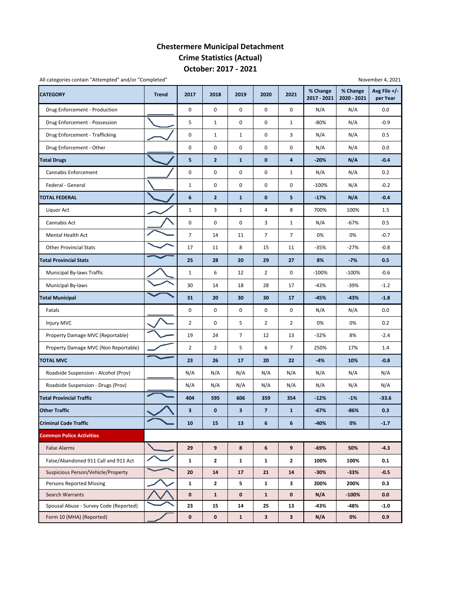### **Chestermere Municipal Detachment Crime Statistics (Actual) October: 2017 ‐ 2021**

| All categories contain "Attempted" and/or "Completed" |              |                |                |                |                         |                         | November 4, 2021        |                         |                          |  |  |  |  |  |
|-------------------------------------------------------|--------------|----------------|----------------|----------------|-------------------------|-------------------------|-------------------------|-------------------------|--------------------------|--|--|--|--|--|
| <b>CATEGORY</b>                                       | <b>Trend</b> | 2017           | 2018           | 2019           | 2020                    | 2021                    | % Change<br>2017 - 2021 | % Change<br>2020 - 2021 | Avg File +/-<br>per Year |  |  |  |  |  |
| Drug Enforcement - Production                         |              | 0              | 0              | $\pmb{0}$      | 0                       | $\mathbf 0$             | N/A                     | N/A                     | 0.0                      |  |  |  |  |  |
| Drug Enforcement - Possession                         |              | 5              | $\mathbf{1}$   | $\pmb{0}$      | 0                       | $\mathbf{1}$            | -80%                    | N/A                     | $-0.9$                   |  |  |  |  |  |
| Drug Enforcement - Trafficking                        |              | 0              | $\mathbf{1}$   | $\mathbf{1}$   | 0                       | 3                       | N/A                     | N/A                     | 0.5                      |  |  |  |  |  |
| Drug Enforcement - Other                              |              | 0              | 0              | $\pmb{0}$      | 0                       | 0                       | N/A                     | N/A                     | 0.0                      |  |  |  |  |  |
| <b>Total Drugs</b>                                    |              | 5              | $\overline{2}$ | $\mathbf{1}$   | $\bf{0}$                | $\overline{\mathbf{4}}$ | $-20%$                  | N/A                     | $-0.4$                   |  |  |  |  |  |
| Cannabis Enforcement                                  |              | 0              | 0              | $\pmb{0}$      | 0                       | $\mathbf{1}$            | N/A                     | N/A                     | 0.2                      |  |  |  |  |  |
| Federal - General                                     |              | $\mathbf 1$    | $\mathsf 0$    | $\pmb{0}$      | 0                       | 0                       | $-100%$                 | N/A                     | $-0.2$                   |  |  |  |  |  |
| <b>TOTAL FEDERAL</b>                                  |              | 6              | $\overline{2}$ | $\mathbf{1}$   | $\bf{0}$                | 5                       | $-17%$                  | N/A                     | $-0.4$                   |  |  |  |  |  |
| Liquor Act                                            |              | $1\,$          | 3              | $1\,$          | 4                       | 8                       | 700%                    | 100%                    | 1.5                      |  |  |  |  |  |
| Cannabis Act                                          |              | 0              | 0              | $\pmb{0}$      | 3                       | $\mathbf{1}$            | N/A                     | $-67%$                  | 0.5                      |  |  |  |  |  |
| <b>Mental Health Act</b>                              |              | $\overline{7}$ | 14             | 11             | $\overline{7}$          | $\overline{7}$          | 0%                      | 0%                      | $-0.7$                   |  |  |  |  |  |
| <b>Other Provincial Stats</b>                         |              | 17             | 11             | 8              | 15                      | 11                      | $-35%$                  | $-27%$                  | $-0.8$                   |  |  |  |  |  |
| <b>Total Provincial Stats</b>                         |              | 25             | 28             | 20             | 29                      | 27                      | 8%                      | $-7%$                   | 0.5                      |  |  |  |  |  |
| Municipal By-laws Traffic                             |              | $\mathbf 1$    | 6              | 12             | $\overline{2}$          | 0                       | $-100%$                 | $-100%$                 | $-0.6$                   |  |  |  |  |  |
| Municipal By-laws                                     |              | 30             | 14             | 18             | 28                      | 17                      | $-43%$                  | $-39%$                  | $-1.2$                   |  |  |  |  |  |
| <b>Total Municipal</b>                                |              | 31             | 20             | 30             | 30                      | 17                      | $-45%$                  | $-43%$                  | $-1.8$                   |  |  |  |  |  |
| Fatals                                                |              | 0              | 0              | $\pmb{0}$      | 0                       | $\mathbf 0$             | N/A                     | N/A                     | 0.0                      |  |  |  |  |  |
| Injury MVC                                            |              | 2              | 0              | 5              | 2                       | $\overline{2}$          | 0%                      | 0%                      | 0.2                      |  |  |  |  |  |
| Property Damage MVC (Reportable)                      |              | 19             | 24             | $\overline{7}$ | 12                      | 13                      | $-32%$                  | 8%                      | $-2.4$                   |  |  |  |  |  |
| Property Damage MVC (Non Reportable)                  |              | $\overline{2}$ | $\overline{2}$ | 5              | 6                       | 7                       | 250%                    | 17%                     | 1.4                      |  |  |  |  |  |
| <b>TOTAL MVC</b>                                      |              | 23             | 26             | 17             | 20                      | 22                      | $-4%$                   | 10%                     | $-0.8$                   |  |  |  |  |  |
| Roadside Suspension - Alcohol (Prov)                  |              | N/A            | N/A            | N/A            | N/A                     | N/A                     | N/A                     | N/A                     | N/A                      |  |  |  |  |  |
| Roadside Suspension - Drugs (Prov)                    |              | N/A            | N/A            | N/A            | N/A                     | N/A                     | N/A                     | N/A                     | N/A                      |  |  |  |  |  |
| <b>Total Provincial Traffic</b>                       |              | 404            | 595            | 606            | 359                     | 354                     | $-12%$                  | $-1%$                   | $-33.6$                  |  |  |  |  |  |
| <b>Other Traffic</b>                                  |              | 3              | $\mathbf 0$    | 3              | $\overline{\mathbf{z}}$ | $\mathbf{1}$            | $-67%$                  | $-86%$                  | 0.3                      |  |  |  |  |  |
| <b>Criminal Code Traffic</b>                          |              | 10             | 15             | 13             | 6                       | 6                       | $-40%$                  | 0%                      | $-1.7$                   |  |  |  |  |  |
| <b>Common Police Activities</b>                       |              |                |                |                |                         |                         |                         |                         |                          |  |  |  |  |  |
| <b>False Alarms</b>                                   |              | 29             | 9              | 8              | 6                       | 9                       | -69%                    | 50%                     | $-4.3$                   |  |  |  |  |  |
| False/Abandoned 911 Call and 911 Act                  |              | 1              | $\mathbf{2}$   | $\mathbf{1}$   | $\mathbf{1}$            | $\mathbf{2}$            | 100%                    | 100%                    | 0.1                      |  |  |  |  |  |
| Suspicious Person/Vehicle/Property                    |              | 20             | 14             | 17             | 21                      | 14                      | -30%                    | $-33%$                  | $-0.5$                   |  |  |  |  |  |
| <b>Persons Reported Missing</b>                       |              | 1              | $\mathbf{2}$   | 5              | $\mathbf{1}$            | 3                       | 200%                    | 200%                    | 0.3                      |  |  |  |  |  |
| Search Warrants                                       |              | $\pmb{0}$      | $\mathbf{1}$   | $\mathbf 0$    | $\mathbf{1}$            | 0                       | N/A                     | $-100%$                 | 0.0                      |  |  |  |  |  |
| Spousal Abuse - Survey Code (Reported)                |              | 23             | 15             | 14             | 25                      | 13                      | -43%                    | -48%                    | $-1.0$                   |  |  |  |  |  |
| Form 10 (MHA) (Reported)                              |              | 0              | 0              | $\mathbf{1}$   | 3                       | $\overline{\mathbf{3}}$ | N/A                     | 0%                      | 0.9                      |  |  |  |  |  |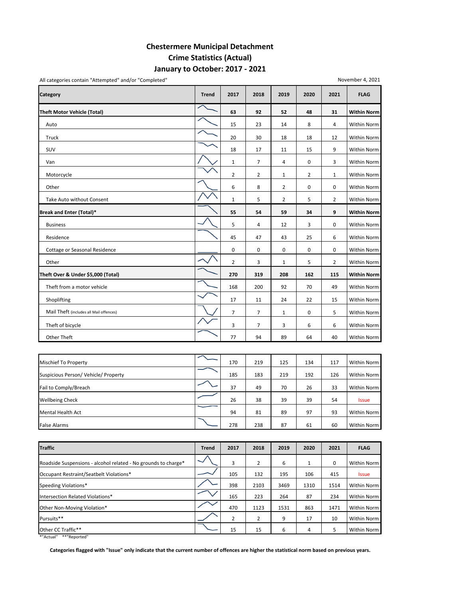### **Chestermere Municipal Detachment Crime Statistics (Actual) January to October: 2017 ‐ 2021**

**Category Trend 2017 2018 2019 2020 2021 FLAG Theft Motor Vehicle (Total) 63 92 52 48 31 Within Norm** Auto 15 23 14 8 4 Within Norm Truck 20 20 30 18 18 12 Within Norm SUV 18 17 11 15 9 Within Norm Van 1 7 4 0 3 Within Norm Motorcycle 22121 Within Norm Other 68200 Mithin Norm 2011 12:00 Mithin Norm 2012 12:00 Mithin Norm 2012 12:00 Mithin Norm 2012 12:00 Mithin Norm Take Auto without Consent  $\begin{vmatrix} 1 & 1 & 2 & 3 \\ 2 & 1 & 5 & 2 \end{vmatrix}$  Within Norm **Break and Enter (Total)\* 55 54 59 34 9 Within Norm** Business 5 4 12 3 0 Within Norm Residence 45 47 43 25 6 Within Norm Cottage or Seasonal Residence **1996 Cottage or Seasonal Residence** 1000000 Within Norm Other 23152 Within Norm 2016 2 Within Norm 2016 2 Within Norm 2016 2 Within Norm **Theft Over & Under \$5,000 (Total) 270 319 208 162 115 Within Norm** Theft from a motor vehicle 168 200 92 70 49 Within Norm Shoplifting 17 10 11 24 22 15 Within Norm 17 11 24 22 15 Within Norm Mail Theft (includes all Mail offences)  $\begin{array}{|c|c|c|c|c|c|}\n\hline\n\diagup\big\downarrow\end{array}$  7  $\begin{array}{|c|c|c|c|c|c|}\n\jmath & 1 & 0 & 5\n\end{array}$  Within Norm Theft of bicycle 37366 Within Norm Other Theft 77 94 89 64 40 Within Norm

| <b>Mischief To Property</b>          | 170 | 219 | 125 | 134 | 117 | Within Norm  |
|--------------------------------------|-----|-----|-----|-----|-----|--------------|
| Suspicious Person/ Vehicle/ Property | 185 | 183 | 219 | 192 | 126 | Within Norm  |
| Fail to Comply/Breach                | 37  | 49  | 70  | 26  | 33  | Within Norm  |
| <b>Wellbeing Check</b>               | 26  | 38  | 39  | 39  | 54  | <b>Issue</b> |
| Mental Health Act                    | 94  | 81  | 89  | 97  | 93  | Within Norm  |
| <b>False Alarms</b>                  | 278 | 238 | 87  | 61  | 60  | Within Norm  |

| <b>Traffic</b>                                                 | <b>Trend</b> | 2017           | 2018           | 2019 | 2020 | 2021 | <b>FLAG</b>  |
|----------------------------------------------------------------|--------------|----------------|----------------|------|------|------|--------------|
| Roadside Suspensions - alcohol related - No grounds to charge* |              | 3              | 2              | 6    |      | 0    | Within Norm  |
| Occupant Restraint/Seatbelt Violations*                        |              | 105            | 132            | 195  | 106  | 415  | <b>Issue</b> |
| Speeding Violations*                                           |              | 398            | 2103           | 3469 | 1310 | 1514 | Within Norm  |
| Intersection Related Violations*                               |              | 165            | 223            | 264  | 87   | 234  | Within Norm  |
| Other Non-Moving Violation*                                    |              | 470            | 1123           | 1531 | 863  | 1471 | Within Norm  |
| Pursuits**                                                     |              | $\overline{2}$ | $\overline{2}$ | 9    | 17   | 10   | Within Norm  |
| Other CC Traffic**                                             |              | 15             | 15             | 6    | 4    | 5    | Within Norm  |

\*"Actual" \*\*"Reported"

Categories flagged with "Issue" only indicate that the current number of offences are higher the statistical norm based on previous years.

#### All categories contain "Attempted" and/or "Completed"

November 4, 2021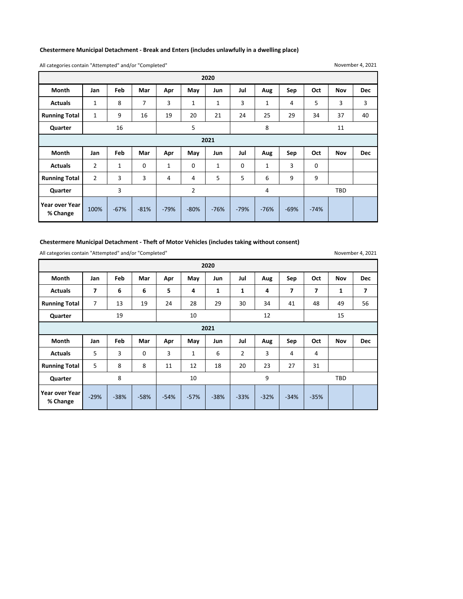#### **Chestermere Municipal Detachment ‐ Break and Enters (includes unlawfully in a dwelling place)**

All categories contain "Attempted" and/or "Completed"

November 4, 2021

| 2020                 |                |     |             |              |                |              |             |                |     |     |            |            |
|----------------------|----------------|-----|-------------|--------------|----------------|--------------|-------------|----------------|-----|-----|------------|------------|
| <b>Month</b>         | Jan            | Feb | Mar         | Apr          | May            | Jun          | Jul         | Aug            | Sep | Oct | <b>Nov</b> | <b>Dec</b> |
| <b>Actuals</b>       | $\mathbf{1}$   | 8   | 7           | 3            | $\mathbf 1$    | $\mathbf{1}$ | 3           | $\mathbf{1}$   | 4   | 5   | 3          | 3          |
| <b>Running Total</b> | $\mathbf{1}$   | 9   | 16          | 19           | 20             | 21           | 24          | 25             | 29  | 34  | 37         | 40         |
| Quarter              |                | 16  |             |              | 5              |              |             | 8              |     |     | 11         |            |
| 2021                 |                |     |             |              |                |              |             |                |     |     |            |            |
|                      |                |     |             |              |                |              |             |                |     |     |            |            |
| <b>Month</b>         | Jan            | Feb | Mar         | Apr          | May            | Jun          | Jul         | Aug            | Sep | Oct | Nov        | <b>Dec</b> |
| <b>Actuals</b>       | $\overline{2}$ | 1   | $\mathbf 0$ | $\mathbf{1}$ | 0              | 1            | $\mathbf 0$ | 1              | 3   | 0   |            |            |
| <b>Running Total</b> | $\overline{2}$ | 3   | 3           | 4            | 4              | 5            | 5           | 6              | 9   | 9   |            |            |
| Quarter              |                | 3   |             |              | $\overline{2}$ |              |             | $\overline{4}$ |     |     | <b>TBD</b> |            |

#### **Chestermere Municipal Detachment ‐ Theft of Motor Vehicles (includes taking without consent)**

All categories contain "Attempted" and/or "Completed"

November 4, 2021

|                            | 2020           |            |             |        |        |              |        |        |        |        |              |            |  |
|----------------------------|----------------|------------|-------------|--------|--------|--------------|--------|--------|--------|--------|--------------|------------|--|
| Month                      | Jan            | Feb        | Mar         | Apr    | May    | Jun          | Jul    | Aug    | Sep    | Oct    | <b>Nov</b>   | <b>Dec</b> |  |
| <b>Actuals</b>             | 7              | 6          | 6           | 5      | 4      | $\mathbf{1}$ | 1      | 4      | 7      | 7      | $\mathbf{1}$ | 7          |  |
| <b>Running Total</b>       | $\overline{7}$ | 13         | 19          | 24     | 28     | 29           | 30     | 34     | 41     | 48     | 49           | 56         |  |
| Quarter                    |                | 19         |             |        | 10     |              |        | 12     |        |        | 15           |            |  |
| 2021                       |                |            |             |        |        |              |        |        |        |        |              |            |  |
| Month                      | Jan            | <b>Feb</b> | Mar         | Apr    | May    | Jun          | Jul    | Aug    | Sep    | Oct    | Nov          | <b>Dec</b> |  |
| <b>Actuals</b>             | 5              | 3          | $\mathbf 0$ | 3      | 1      | 6            | 2      | 3      | 4      | 4      |              |            |  |
| <b>Running Total</b>       | 5              | 8          | 8           | 11     | 12     | 18           | 20     | 23     | 27     | 31     |              |            |  |
| Quarter                    |                | 8          |             |        | 10     |              |        | 9      |        |        | <b>TBD</b>   |            |  |
| Year over Year<br>% Change | $-29%$         | $-38%$     | $-58%$      | $-54%$ | $-57%$ | $-38%$       | $-33%$ | $-32%$ | $-34%$ | $-35%$ |              |            |  |